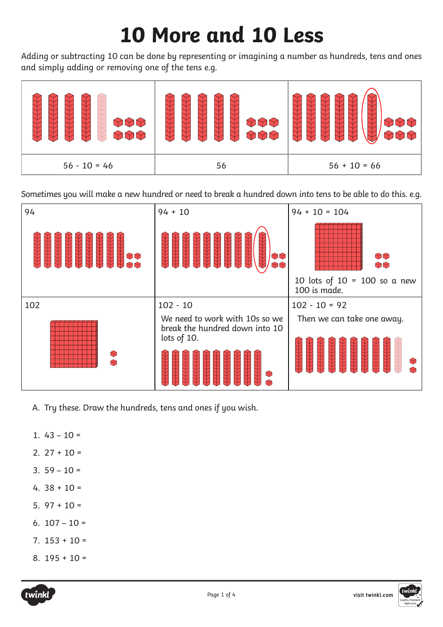## **10 More and 10 Less**

Adding or subtracting 10 can be done by representing or imagining a number as hundreds, tens and ones and simply adding or removing one of the tens e.g.



Sometimes you will make a new hundred or need to break a hundred down into tens to be able to do this. e.g.



- A. Try these. Draw the hundreds, tens and ones if you wish.
- 1.  $43 10 =$
- 2.  $27 + 10 =$
- $3.59 10 =$
- 4.  $38 + 10 =$
- 5.  $97 + 10 =$
- 6.  $107 10 =$
- $7. 153 + 10 =$
- 8.  $195 + 10 =$



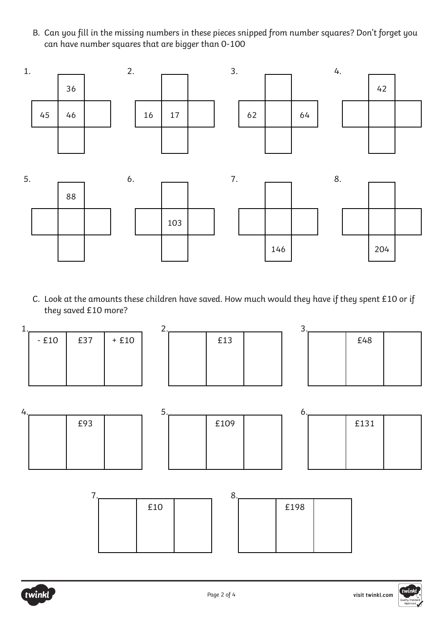B. Can you fill in the missing numbers in these pieces snipped from number squares? Don't forget you can have number squares that are bigger than 0-100



C. Look at the amounts these children have saved. How much would they have if they spent £10 or if they saved £10 more?



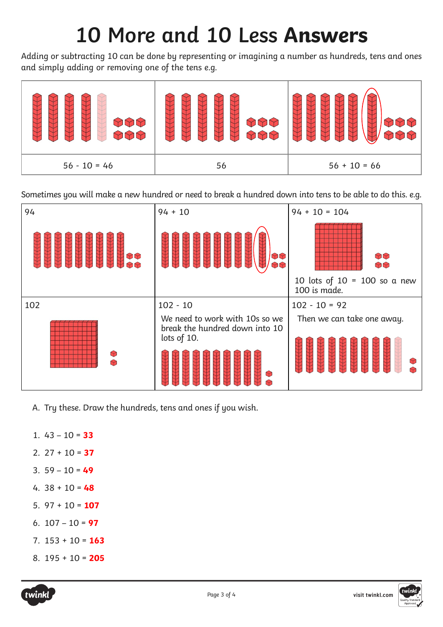## **10 More and 10 Less Answers**

Adding or subtracting 10 can be done by representing or imagining a number as hundreds, tens and ones and simply adding or removing one of the tens e.g.



Sometimes you will make a new hundred or need to break a hundred down into tens to be able to do this. e.g.



- A. Try these. Draw the hundreds, tens and ones if you wish.
- 1. 43 10 = **33**
- 2. 27 + 10 = **37**
- 3. 59 10 = **49**
- 4. 38 + 10 = **48**
- 5. 97 + 10 = **107**
- 6. 107 10 = **97**
- 7. 153 + 10 = **163**
- 8. 195 + 10 = **205**